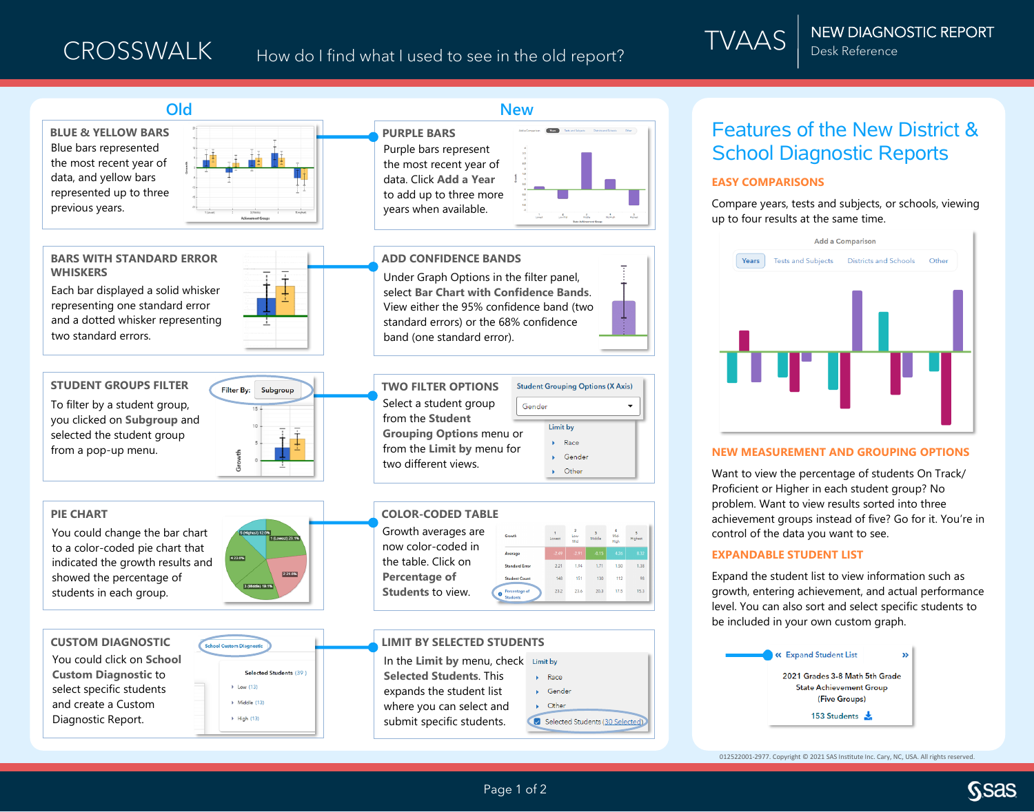

012522001-2977. Copyright © 2021 SAS Institute Inc. Cary, NC, USA. All rights reserved.